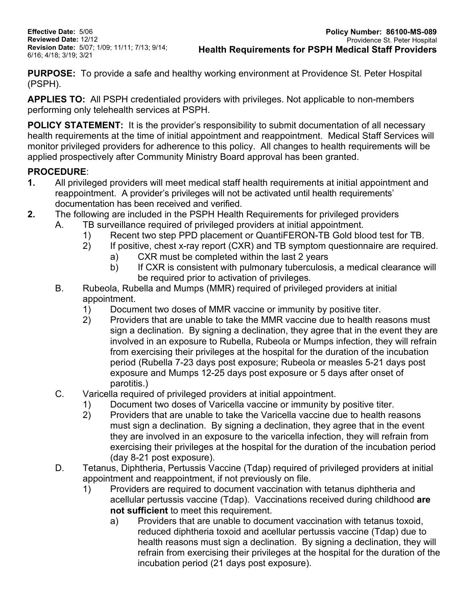**Effective Date:** 5/06 **Reviewed Date:** 12/12 **Revision Date:** 5/07; 1/09; 11/11; 7/13; 9/14; 6/16; 4/18; 3/19; 3/21

**PURPOSE:** To provide a safe and healthy working environment at Providence St. Peter Hospital (PSPH).

**APPLIES TO:** All PSPH credentialed providers with privileges. Not applicable to non-members performing only telehealth services at PSPH.

**POLICY STATEMENT:** It is the provider's responsibility to submit documentation of all necessary health requirements at the time of initial appointment and reappointment. Medical Staff Services will monitor privileged providers for adherence to this policy. All changes to health requirements will be applied prospectively after Community Ministry Board approval has been granted.

# **PROCEDURE**:

- **1.** All privileged providers will meet medical staff health requirements at initial appointment and reappointment. A provider's privileges will not be activated until health requirements' documentation has been received and verified.
- **2.** The following are included in the PSPH Health Requirements for privileged providers
	- A. TB surveillance required of privileged providers at initial appointment.
		- 1) Recent two step PPD placement or QuantiFERON-TB Gold blood test for TB.
		- 2) If positive, chest x-ray report (CXR) and TB symptom questionnaire are required.
			- a) CXR must be completed within the last 2 years
			- b) If CXR is consistent with pulmonary tuberculosis, a medical clearance will be required prior to activation of privileges.
	- B. Rubeola, Rubella and Mumps (MMR) required of privileged providers at initial appointment.
		- 1) Document two doses of MMR vaccine or immunity by positive titer.<br>2) Providers that are unable to take the MMR vaccine due to health re
		- 2) Providers that are unable to take the MMR vaccine due to health reasons must sign a declination. By signing a declination, they agree that in the event they are involved in an exposure to Rubella, Rubeola or Mumps infection, they will refrain from exercising their privileges at the hospital for the duration of the incubation period (Rubella 7-23 days post exposure; Rubeola or measles 5-21 days post exposure and Mumps 12-25 days post exposure or 5 days after onset of parotitis.)
	- C. Varicella required of privileged providers at initial appointment.
		- 1) Document two doses of Varicella vaccine or immunity by positive titer.
		- 2) Providers that are unable to take the Varicella vaccine due to health reasons must sign a declination. By signing a declination, they agree that in the event they are involved in an exposure to the varicella infection, they will refrain from exercising their privileges at the hospital for the duration of the incubation period (day 8-21 post exposure).
	- D. Tetanus, Diphtheria, Pertussis Vaccine (Tdap) required of privileged providers at initial appointment and reappointment, if not previously on file.
		- 1) Providers are required to document vaccination with tetanus diphtheria and acellular pertussis vaccine (Tdap). Vaccinations received during childhood **are not sufficient** to meet this requirement.
			- a) Providers that are unable to document vaccination with tetanus toxoid, reduced diphtheria toxoid and acellular pertussis vaccine (Tdap) due to health reasons must sign a declination. By signing a declination, they will refrain from exercising their privileges at the hospital for the duration of the incubation period (21 days post exposure).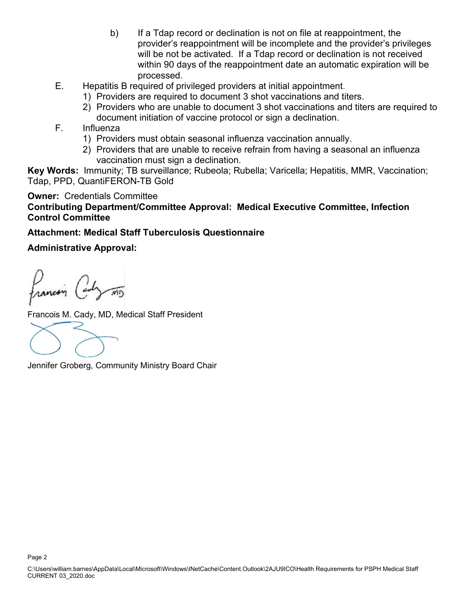- b) If a Tdap record or declination is not on file at reappointment, the provider's reappointment will be incomplete and the provider's privileges will be not be activated. If a Tdap record or declination is not received within 90 days of the reappointment date an automatic expiration will be processed.
- E. Hepatitis B required of privileged providers at initial appointment.
	- 1) Providers are required to document 3 shot vaccinations and titers.
	- 2) Providers who are unable to document 3 shot vaccinations and titers are required to document initiation of vaccine protocol or sign a declination.
- F. Influenza
	- 1) Providers must obtain seasonal influenza vaccination annually.
	- 2) Providers that are unable to receive refrain from having a seasonal an influenza vaccination must sign a declination.

**Key Words:** Immunity; TB surveillance; Rubeola; Rubella; Varicella; Hepatitis, MMR, Vaccination; Tdap, PPD, QuantiFERON-TB Gold

**Owner:** Credentials Committee

## **Contributing Department/Committee Approval: Medical Executive Committee, Infection Control Committee**

### **Attachment: Medical Staff Tuberculosis Questionnaire**

### **Administrative Approval:**

Francois (and mo

Francois M. Cady, MD, Medical Staff President

Jennifer Groberg, Community Ministry Board Chair